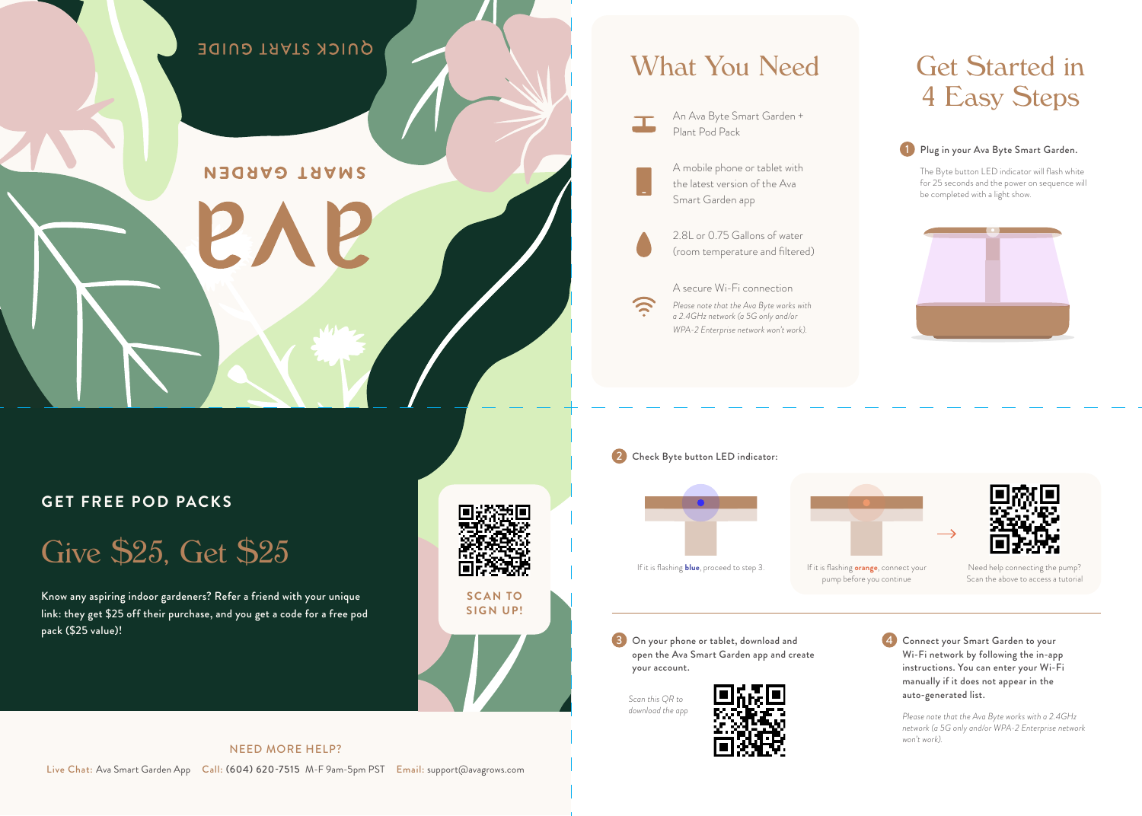

### What You Need Get Started in

An Ava Byte Smart Garden + Plant Pod Pack

> A mobile phone or tablet with the latest version of the Ava Smart Garden app

2.8L or 0.75 Gallons of water (room temperature and filtered)

A secure Wi-Fi connection *Please note that the Ava Byte works with a 2.4GHz network (a 5G only and/or WPA-2 Enterprise network won't work).* 

# 4 Easy Steps

1 Plug in your Ava Byte Smart Garden.

The Byte button LED indicator will flash white for 25 seconds and the power on sequence will be completed with a light show.



#### 2 Check Byte button LED indicator:

 $\sum$ 







If it is flashing **blue**, proceed to step 3.

If it is flashing **orange**, connect your pump before you continue

Need help connecting the pump? Scan the above to access a tutorial

3 On your phone or tablet, download and open the Ava Smart Garden app and create your account.





4 Connect your Smart Garden to your Wi-Fi network by following the in-app instructions. You can enter your Wi-Fi manually if it does not appear in the auto-generated list.

*Please note that the Ava Byte works with a 2.4GHz network (a 5G only and/or WPA-2 Enterprise network won't work).* 

### **GET FREE POD PACKS**

## Give \$25, Get \$25

Know any aspiring indoor gardeners? Refer a friend with your unique link: they get \$25 off their purchase, and you get a code for a free pod pack (\$25 value)!



**SC A N TO SIGN UP!**



NEED MORE HELP? Live Chat: Ava Smart Garden App Call: (604) 620-7515 M-F 9am-5pm PST Email: support@avagrows.com